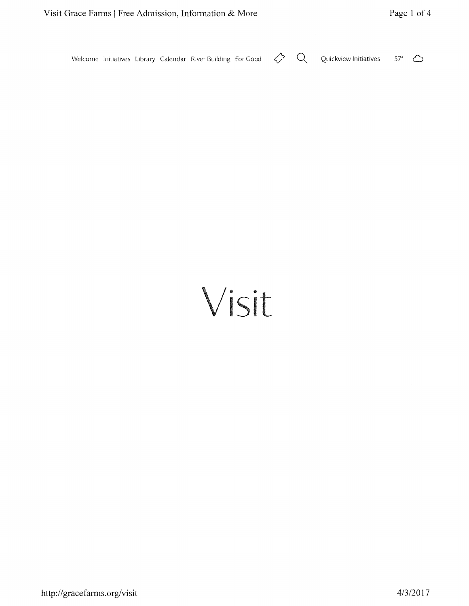$\bigcirc$  $\Diamond$ Welcome Initiatives Library Calendar River Building For Good Quickview Initiatives  $57^\circ$   $\bigcirc$ 

# Visit

 $\mathcal{A}^{\mathcal{A}}$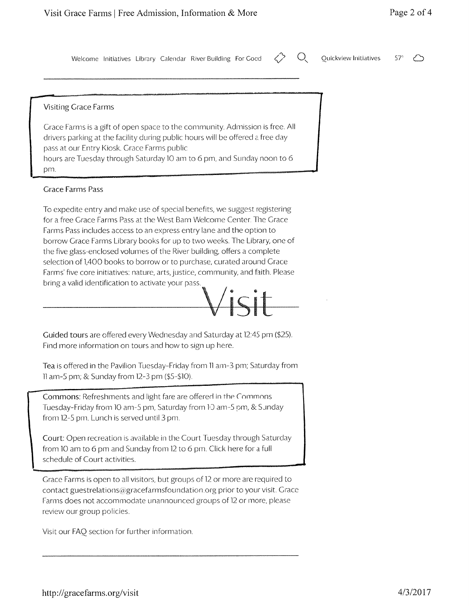Welcome Initiatives Library Calendar River Building For Good

Q Ouickview Initiatives 57'

#### Visiting Crace Farms

Grace Farms is a gift of open space to the community. Admission is free. All drivers parking at the facility during public hours will be offered a free day pass at our Entry Kiosk. Grace Farms public hours are Tuesday through Saturday 10 am to 6 pm, and Sunday noon to 6 pm.

#### Crace Farnrs Pass

To expedite entry and make use of special benefits, we suggest registering for a free Grace Farms Pass at the West Barn Welcome Center. The Grace Farms Pass includes access to an express entry lane and the option to borrow Grace Farms Library books for up to two weeks. The Library, one of the five glass-enclosed volumes of the River building, offers a complete selection of 1,400 books to borrow or to purchase, curated around Grace Farms' five core initiatives: nature, arts, justice, community, and faith. Please bring a valid identification to activate your pass.



Guided tours are offered every Wednesday and Saturday at 12:45 pm (\$25). Find more information on tours and how to sign up here.

Tea is offered in the Pavilion Tuesday-Friday from 11 am-3 pm; Saturday from 11 am-5 pm; & Sunday from 12-3 pm (\$5-\$10).

Commons: Refreshments and light fare are offered in the Commons Tuesday-Friday from 10 am-5 pm, Saturday from 10 am-5 pm, & Sunday from 12-5 pm. Lunch is served until 3 pm.

Court: Open recreation is available in the Court Tuesday through Saturday from 10 am to 6 pm and Sunday from 12 to 6 pm. Click here for a full schedule of Court activities.

Grace Farms is open to all visitors, but groups of 12 or more are required to contact guestrelations@gracefarmsfoundation.org prior to your visit. Grace Farms does not accommodate unannounced groups of 12 or more, please review our group policies.

Visit our FAO section for further information.

Page 2 of <sup>4</sup>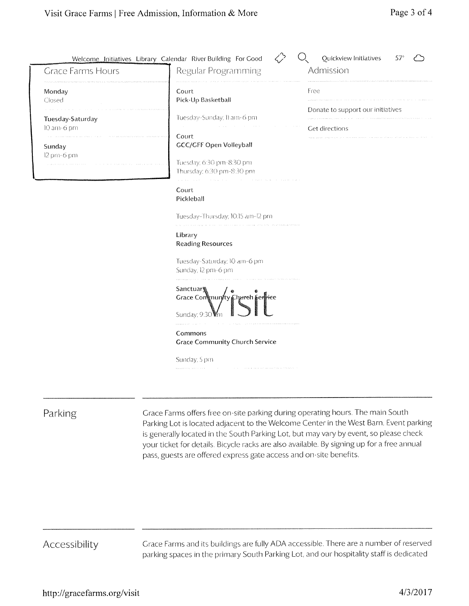| <b>Grace Farms Hours</b>       | Welcome Initiatives Library Calendar River Building For Good<br>Regular Programming       | Quickview Initiatives<br>$57^\circ$<br>Admission    |
|--------------------------------|-------------------------------------------------------------------------------------------|-----------------------------------------------------|
| Monday<br>Closed               | Court<br>Pick-Up Basketball                                                               | Free                                                |
| Tuesday-Saturday<br>10 am-6 pm | Tuesday-Sunday, II am-6 pm                                                                | Donate to support our initiatives<br>Get directions |
| Sunday<br>12 pm-6 pm           | Court<br>GCC/GFF Open Volleyball<br>Tuesday; 6:30 pm-8:30 pm<br>Thursday: 6:30 pm-8:30 pm |                                                     |
|                                | Court<br>Pickleball                                                                       |                                                     |
|                                | Tuesday-Thursday; 10:15 am-12 pm                                                          |                                                     |
|                                | Library<br><b>Reading Resources</b>                                                       |                                                     |
|                                | Tuesday-Saturday; 10 am-6 pm<br>Sunday, 12 pm-6 pm                                        |                                                     |
|                                | <b>Sanctuar</b><br>Grace Continuity Charch Service<br>Sunday; 9:30                        |                                                     |
|                                | Commons<br><b>Grace Community Church Service</b>                                          |                                                     |
|                                | Sunday; 5 pm                                                                              |                                                     |
|                                |                                                                                           |                                                     |

## Parking

Grace Farms offers free on-site parking during operating hours. The main South Parking Lot is located adjacent to the Welcome Center in the West Barn. Event parking is generally located in the South Parking Lot, but may vary by event, so please check your ticket for details. Bicycle racks are also available. By signing up for a free annual pass, guests are offered express gate access and on-site benefits.

# Accessibility

Grace Farms and its buildings are fully ADA accessible. There are a number of reserved parking spaces in the primary South Parking Lot, and our hospitality staff is dedicated